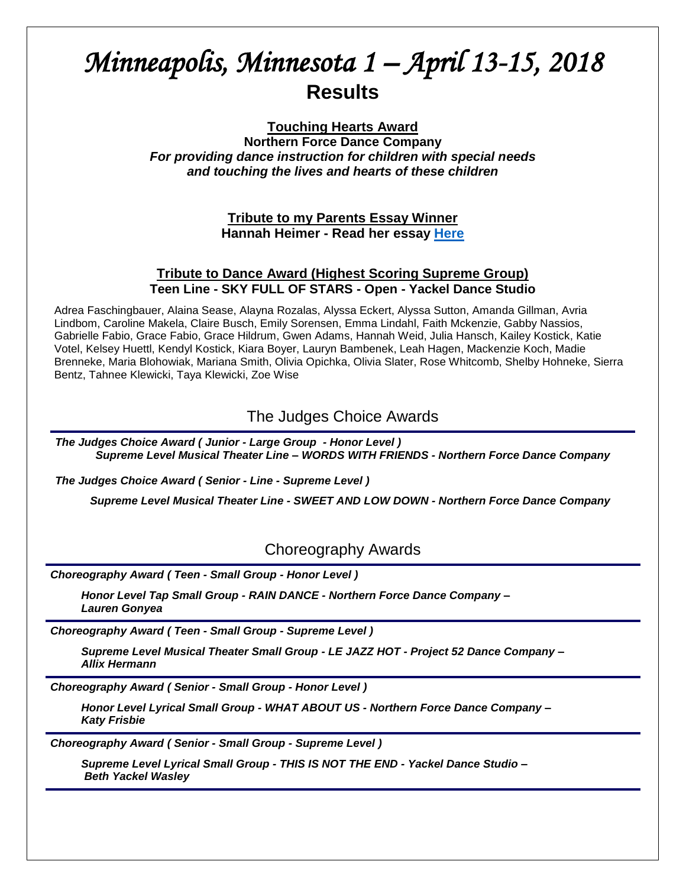# *Minneapolis, Minnesota 1 – April 13-15, 2018*  **Results**

**Touching Hearts Award**

**Northern Force Dance Company** *For providing dance instruction for children with special needs and touching the lives and hearts of these children*

> **Tribute to my Parents Essay Winner Hannah Heimer - Read her essay [Here](http://tributetodance.com/wp-content/uploads/2018/04/minn1essay18.pdf)**

#### **Tribute to Dance Award (Highest Scoring Supreme Group) Teen Line - SKY FULL OF STARS - Open - Yackel Dance Studio**

Adrea Faschingbauer, Alaina Sease, Alayna Rozalas, Alyssa Eckert, Alyssa Sutton, Amanda Gillman, Avria Lindbom, Caroline Makela, Claire Busch, Emily Sorensen, Emma Lindahl, Faith Mckenzie, Gabby Nassios, Gabrielle Fabio, Grace Fabio, Grace Hildrum, Gwen Adams, Hannah Weid, Julia Hansch, Kailey Kostick, Katie Votel, Kelsey Huettl, Kendyl Kostick, Kiara Boyer, Lauryn Bambenek, Leah Hagen, Mackenzie Koch, Madie Brenneke, Maria Blohowiak, Mariana Smith, Olivia Opichka, Olivia Slater, Rose Whitcomb, Shelby Hohneke, Sierra Bentz, Tahnee Klewicki, Taya Klewicki, Zoe Wise

The Judges Choice Awards

*The Judges Choice Award ( Junior - Large Group - Honor Level ) Supreme Level Musical Theater Line – WORDS WITH FRIENDS - Northern Force Dance Company* 

*The Judges Choice Award ( Senior - Line - Supreme Level )*

*Supreme Level Musical Theater Line - SWEET AND LOW DOWN - Northern Force Dance Company* 

# Choreography Awards

*Choreography Award ( Teen - Small Group - Honor Level )*

*Honor Level Tap Small Group - RAIN DANCE - Northern Force Dance Company – Lauren Gonyea*

*Choreography Award ( Teen - Small Group - Supreme Level )*

*Supreme Level Musical Theater Small Group - LE JAZZ HOT - Project 52 Dance Company – Allix Hermann*

*Choreography Award ( Senior - Small Group - Honor Level )*

*Honor Level Lyrical Small Group - WHAT ABOUT US - Northern Force Dance Company – Katy Frisbie*

*Choreography Award ( Senior - Small Group - Supreme Level )*

*Supreme Level Lyrical Small Group - THIS IS NOT THE END - Yackel Dance Studio – Beth Yackel Wasley*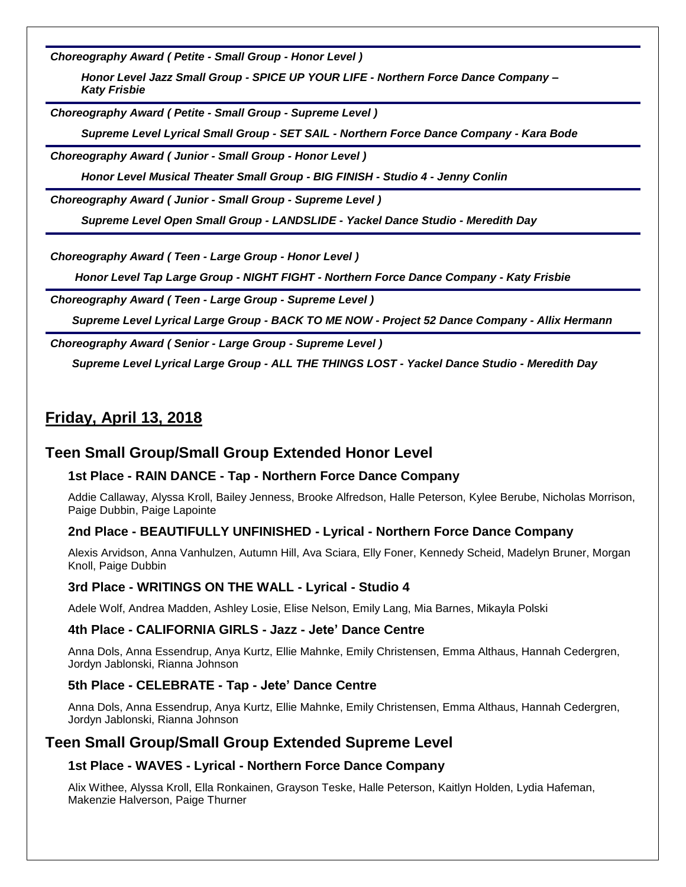*Choreography Award ( Petite - Small Group - Honor Level )*

*Honor Level Jazz Small Group - SPICE UP YOUR LIFE - Northern Force Dance Company – Katy Frisbie*

*Choreography Award ( Petite - Small Group - Supreme Level )*

*Supreme Level Lyrical Small Group - SET SAIL - Northern Force Dance Company - Kara Bode*

*Choreography Award ( Junior - Small Group - Honor Level )*

*Honor Level Musical Theater Small Group - BIG FINISH - Studio 4 - Jenny Conlin*

*Choreography Award ( Junior - Small Group - Supreme Level )*

*Supreme Level Open Small Group - LANDSLIDE - Yackel Dance Studio - Meredith Day*

*Choreography Award ( Teen - Large Group - Honor Level )*

 *Honor Level Tap Large Group - NIGHT FIGHT - Northern Force Dance Company - Katy Frisbie*

*Choreography Award ( Teen - Large Group - Supreme Level )*

 *Supreme Level Lyrical Large Group - BACK TO ME NOW - Project 52 Dance Company - Allix Hermann*

*Choreography Award ( Senior - Large Group - Supreme Level )*

 *Supreme Level Lyrical Large Group - ALL THE THINGS LOST - Yackel Dance Studio - Meredith Day*

# **Friday, April 13, 2018**

#### **Teen Small Group/Small Group Extended Honor Level**

#### **1st Place - RAIN DANCE - Tap - Northern Force Dance Company**

Addie Callaway, Alyssa Kroll, Bailey Jenness, Brooke Alfredson, Halle Peterson, Kylee Berube, Nicholas Morrison, Paige Dubbin, Paige Lapointe

#### **2nd Place - BEAUTIFULLY UNFINISHED - Lyrical - Northern Force Dance Company**

Alexis Arvidson, Anna Vanhulzen, Autumn Hill, Ava Sciara, Elly Foner, Kennedy Scheid, Madelyn Bruner, Morgan Knoll, Paige Dubbin

#### **3rd Place - WRITINGS ON THE WALL - Lyrical - Studio 4**

Adele Wolf, Andrea Madden, Ashley Losie, Elise Nelson, Emily Lang, Mia Barnes, Mikayla Polski

#### **4th Place - CALIFORNIA GIRLS - Jazz - Jete' Dance Centre**

Anna Dols, Anna Essendrup, Anya Kurtz, Ellie Mahnke, Emily Christensen, Emma Althaus, Hannah Cedergren, Jordyn Jablonski, Rianna Johnson

#### **5th Place - CELEBRATE - Tap - Jete' Dance Centre**

Anna Dols, Anna Essendrup, Anya Kurtz, Ellie Mahnke, Emily Christensen, Emma Althaus, Hannah Cedergren, Jordyn Jablonski, Rianna Johnson

#### **Teen Small Group/Small Group Extended Supreme Level**

#### **1st Place - WAVES - Lyrical - Northern Force Dance Company**

Alix Withee, Alyssa Kroll, Ella Ronkainen, Grayson Teske, Halle Peterson, Kaitlyn Holden, Lydia Hafeman, Makenzie Halverson, Paige Thurner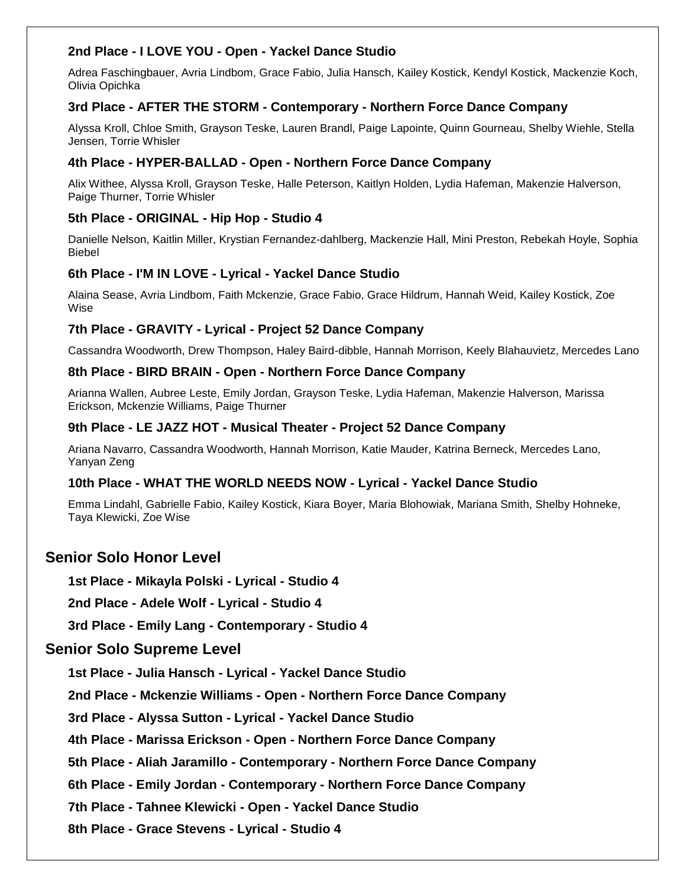#### **2nd Place - I LOVE YOU - Open - Yackel Dance Studio**

Adrea Faschingbauer, Avria Lindbom, Grace Fabio, Julia Hansch, Kailey Kostick, Kendyl Kostick, Mackenzie Koch, Olivia Opichka

#### **3rd Place - AFTER THE STORM - Contemporary - Northern Force Dance Company**

Alyssa Kroll, Chloe Smith, Grayson Teske, Lauren Brandl, Paige Lapointe, Quinn Gourneau, Shelby Wiehle, Stella Jensen, Torrie Whisler

#### **4th Place - HYPER-BALLAD - Open - Northern Force Dance Company**

Alix Withee, Alyssa Kroll, Grayson Teske, Halle Peterson, Kaitlyn Holden, Lydia Hafeman, Makenzie Halverson, Paige Thurner, Torrie Whisler

#### **5th Place - ORIGINAL - Hip Hop - Studio 4**

Danielle Nelson, Kaitlin Miller, Krystian Fernandez-dahlberg, Mackenzie Hall, Mini Preston, Rebekah Hoyle, Sophia Biebel

#### **6th Place - I'M IN LOVE - Lyrical - Yackel Dance Studio**

Alaina Sease, Avria Lindbom, Faith Mckenzie, Grace Fabio, Grace Hildrum, Hannah Weid, Kailey Kostick, Zoe Wise

#### **7th Place - GRAVITY - Lyrical - Project 52 Dance Company**

Cassandra Woodworth, Drew Thompson, Haley Baird-dibble, Hannah Morrison, Keely Blahauvietz, Mercedes Lano

#### **8th Place - BIRD BRAIN - Open - Northern Force Dance Company**

Arianna Wallen, Aubree Leste, Emily Jordan, Grayson Teske, Lydia Hafeman, Makenzie Halverson, Marissa Erickson, Mckenzie Williams, Paige Thurner

#### **9th Place - LE JAZZ HOT - Musical Theater - Project 52 Dance Company**

Ariana Navarro, Cassandra Woodworth, Hannah Morrison, Katie Mauder, Katrina Berneck, Mercedes Lano, Yanyan Zeng

#### **10th Place - WHAT THE WORLD NEEDS NOW - Lyrical - Yackel Dance Studio**

Emma Lindahl, Gabrielle Fabio, Kailey Kostick, Kiara Boyer, Maria Blohowiak, Mariana Smith, Shelby Hohneke, Taya Klewicki, Zoe Wise

#### **Senior Solo Honor Level**

**1st Place - Mikayla Polski - Lyrical - Studio 4**

**2nd Place - Adele Wolf - Lyrical - Studio 4**

**3rd Place - Emily Lang - Contemporary - Studio 4**

#### **Senior Solo Supreme Level**

**1st Place - Julia Hansch - Lyrical - Yackel Dance Studio**

**2nd Place - Mckenzie Williams - Open - Northern Force Dance Company**

**3rd Place - Alyssa Sutton - Lyrical - Yackel Dance Studio**

**4th Place - Marissa Erickson - Open - Northern Force Dance Company**

**5th Place - Aliah Jaramillo - Contemporary - Northern Force Dance Company**

**6th Place - Emily Jordan - Contemporary - Northern Force Dance Company**

**7th Place - Tahnee Klewicki - Open - Yackel Dance Studio**

**8th Place - Grace Stevens - Lyrical - Studio 4**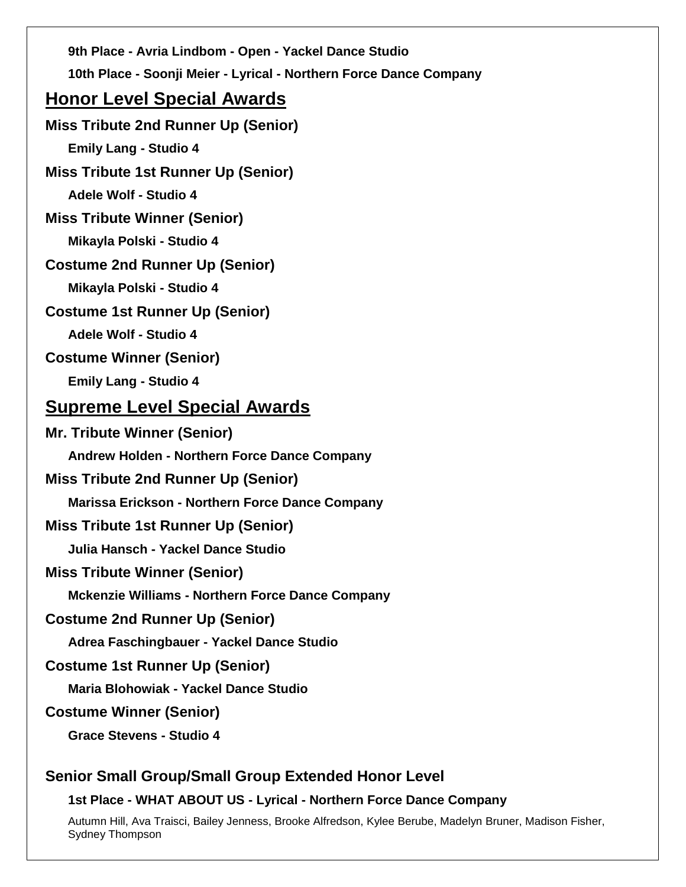**9th Place - Avria Lindbom - Open - Yackel Dance Studio 10th Place - Soonji Meier - Lyrical - Northern Force Dance Company**

# **Honor Level Special Awards**

**Miss Tribute 2nd Runner Up (Senior)**

**Emily Lang - Studio 4**

**Miss Tribute 1st Runner Up (Senior)**

**Adele Wolf - Studio 4**

**Miss Tribute Winner (Senior)**

**Mikayla Polski - Studio 4**

**Costume 2nd Runner Up (Senior)**

**Mikayla Polski - Studio 4**

**Costume 1st Runner Up (Senior)**

**Adele Wolf - Studio 4**

**Costume Winner (Senior)**

**Emily Lang - Studio 4**

# **Supreme Level Special Awards**

**Mr. Tribute Winner (Senior) Andrew Holden - Northern Force Dance Company Miss Tribute 2nd Runner Up (Senior) Marissa Erickson - Northern Force Dance Company Miss Tribute 1st Runner Up (Senior) Julia Hansch - Yackel Dance Studio Miss Tribute Winner (Senior) Mckenzie Williams - Northern Force Dance Company Costume 2nd Runner Up (Senior) Adrea Faschingbauer - Yackel Dance Studio Costume 1st Runner Up (Senior) Maria Blohowiak - Yackel Dance Studio Costume Winner (Senior) Grace Stevens - Studio 4**

# **Senior Small Group/Small Group Extended Honor Level**

**1st Place - WHAT ABOUT US - Lyrical - Northern Force Dance Company**

Autumn Hill, Ava Traisci, Bailey Jenness, Brooke Alfredson, Kylee Berube, Madelyn Bruner, Madison Fisher, Sydney Thompson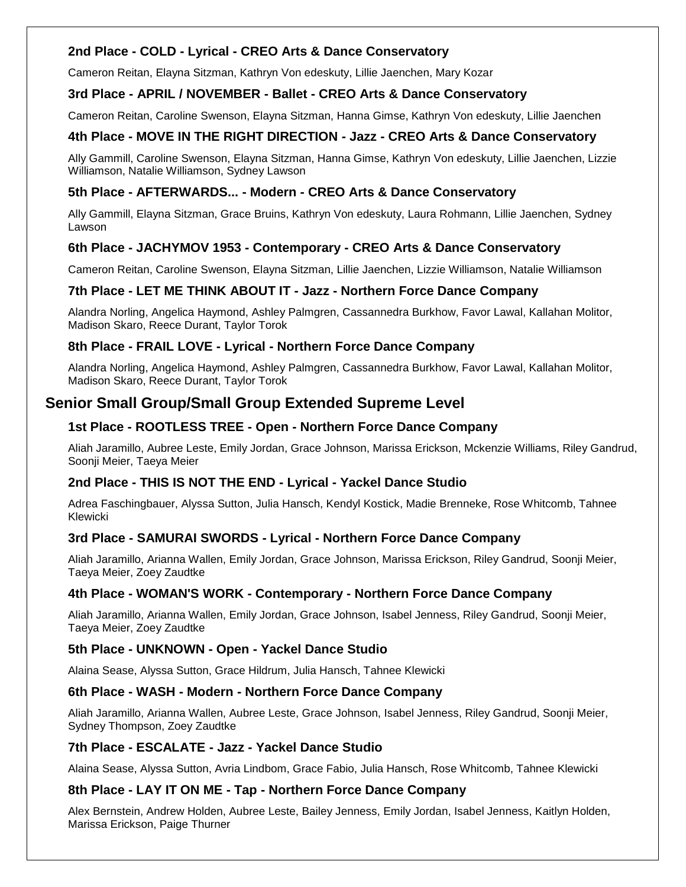#### **2nd Place - COLD - Lyrical - CREO Arts & Dance Conservatory**

Cameron Reitan, Elayna Sitzman, Kathryn Von edeskuty, Lillie Jaenchen, Mary Kozar

#### **3rd Place - APRIL / NOVEMBER - Ballet - CREO Arts & Dance Conservatory**

Cameron Reitan, Caroline Swenson, Elayna Sitzman, Hanna Gimse, Kathryn Von edeskuty, Lillie Jaenchen

#### **4th Place - MOVE IN THE RIGHT DIRECTION - Jazz - CREO Arts & Dance Conservatory**

Ally Gammill, Caroline Swenson, Elayna Sitzman, Hanna Gimse, Kathryn Von edeskuty, Lillie Jaenchen, Lizzie Williamson, Natalie Williamson, Sydney Lawson

#### **5th Place - AFTERWARDS... - Modern - CREO Arts & Dance Conservatory**

Ally Gammill, Elayna Sitzman, Grace Bruins, Kathryn Von edeskuty, Laura Rohmann, Lillie Jaenchen, Sydney Lawson

#### **6th Place - JACHYMOV 1953 - Contemporary - CREO Arts & Dance Conservatory**

Cameron Reitan, Caroline Swenson, Elayna Sitzman, Lillie Jaenchen, Lizzie Williamson, Natalie Williamson

#### **7th Place - LET ME THINK ABOUT IT - Jazz - Northern Force Dance Company**

Alandra Norling, Angelica Haymond, Ashley Palmgren, Cassannedra Burkhow, Favor Lawal, Kallahan Molitor, Madison Skaro, Reece Durant, Taylor Torok

#### **8th Place - FRAIL LOVE - Lyrical - Northern Force Dance Company**

Alandra Norling, Angelica Haymond, Ashley Palmgren, Cassannedra Burkhow, Favor Lawal, Kallahan Molitor, Madison Skaro, Reece Durant, Taylor Torok

### **Senior Small Group/Small Group Extended Supreme Level**

#### **1st Place - ROOTLESS TREE - Open - Northern Force Dance Company**

Aliah Jaramillo, Aubree Leste, Emily Jordan, Grace Johnson, Marissa Erickson, Mckenzie Williams, Riley Gandrud, Soonji Meier, Taeya Meier

#### **2nd Place - THIS IS NOT THE END - Lyrical - Yackel Dance Studio**

Adrea Faschingbauer, Alyssa Sutton, Julia Hansch, Kendyl Kostick, Madie Brenneke, Rose Whitcomb, Tahnee Klewicki

#### **3rd Place - SAMURAI SWORDS - Lyrical - Northern Force Dance Company**

Aliah Jaramillo, Arianna Wallen, Emily Jordan, Grace Johnson, Marissa Erickson, Riley Gandrud, Soonji Meier, Taeya Meier, Zoey Zaudtke

#### **4th Place - WOMAN'S WORK - Contemporary - Northern Force Dance Company**

Aliah Jaramillo, Arianna Wallen, Emily Jordan, Grace Johnson, Isabel Jenness, Riley Gandrud, Soonji Meier, Taeya Meier, Zoey Zaudtke

#### **5th Place - UNKNOWN - Open - Yackel Dance Studio**

Alaina Sease, Alyssa Sutton, Grace Hildrum, Julia Hansch, Tahnee Klewicki

#### **6th Place - WASH - Modern - Northern Force Dance Company**

Aliah Jaramillo, Arianna Wallen, Aubree Leste, Grace Johnson, Isabel Jenness, Riley Gandrud, Soonji Meier, Sydney Thompson, Zoey Zaudtke

#### **7th Place - ESCALATE - Jazz - Yackel Dance Studio**

Alaina Sease, Alyssa Sutton, Avria Lindbom, Grace Fabio, Julia Hansch, Rose Whitcomb, Tahnee Klewicki

#### **8th Place - LAY IT ON ME - Tap - Northern Force Dance Company**

Alex Bernstein, Andrew Holden, Aubree Leste, Bailey Jenness, Emily Jordan, Isabel Jenness, Kaitlyn Holden, Marissa Erickson, Paige Thurner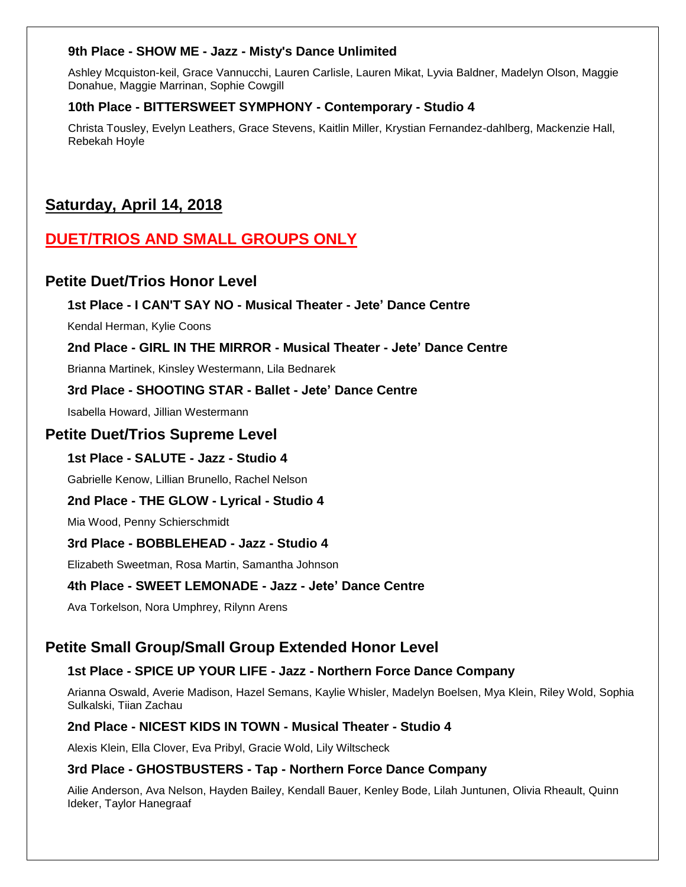#### **9th Place - SHOW ME - Jazz - Misty's Dance Unlimited**

Ashley Mcquiston-keil, Grace Vannucchi, Lauren Carlisle, Lauren Mikat, Lyvia Baldner, Madelyn Olson, Maggie Donahue, Maggie Marrinan, Sophie Cowgill

#### **10th Place - BITTERSWEET SYMPHONY - Contemporary - Studio 4**

Christa Tousley, Evelyn Leathers, Grace Stevens, Kaitlin Miller, Krystian Fernandez-dahlberg, Mackenzie Hall, Rebekah Hoyle

# **Saturday, April 14, 2018**

# **DUET/TRIOS AND SMALL GROUPS ONLY**

### **Petite Duet/Trios Honor Level**

#### **1st Place - I CAN'T SAY NO - Musical Theater - Jete' Dance Centre**

Kendal Herman, Kylie Coons

#### **2nd Place - GIRL IN THE MIRROR - Musical Theater - Jete' Dance Centre**

Brianna Martinek, Kinsley Westermann, Lila Bednarek

#### **3rd Place - SHOOTING STAR - Ballet - Jete' Dance Centre**

Isabella Howard, Jillian Westermann

#### **Petite Duet/Trios Supreme Level**

#### **1st Place - SALUTE - Jazz - Studio 4**

Gabrielle Kenow, Lillian Brunello, Rachel Nelson

#### **2nd Place - THE GLOW - Lyrical - Studio 4**

Mia Wood, Penny Schierschmidt

#### **3rd Place - BOBBLEHEAD - Jazz - Studio 4**

Elizabeth Sweetman, Rosa Martin, Samantha Johnson

#### **4th Place - SWEET LEMONADE - Jazz - Jete' Dance Centre**

Ava Torkelson, Nora Umphrey, Rilynn Arens

# **Petite Small Group/Small Group Extended Honor Level**

#### **1st Place - SPICE UP YOUR LIFE - Jazz - Northern Force Dance Company**

Arianna Oswald, Averie Madison, Hazel Semans, Kaylie Whisler, Madelyn Boelsen, Mya Klein, Riley Wold, Sophia Sulkalski, Tiian Zachau

#### **2nd Place - NICEST KIDS IN TOWN - Musical Theater - Studio 4**

Alexis Klein, Ella Clover, Eva Pribyl, Gracie Wold, Lily Wiltscheck

#### **3rd Place - GHOSTBUSTERS - Tap - Northern Force Dance Company**

Ailie Anderson, Ava Nelson, Hayden Bailey, Kendall Bauer, Kenley Bode, Lilah Juntunen, Olivia Rheault, Quinn Ideker, Taylor Hanegraaf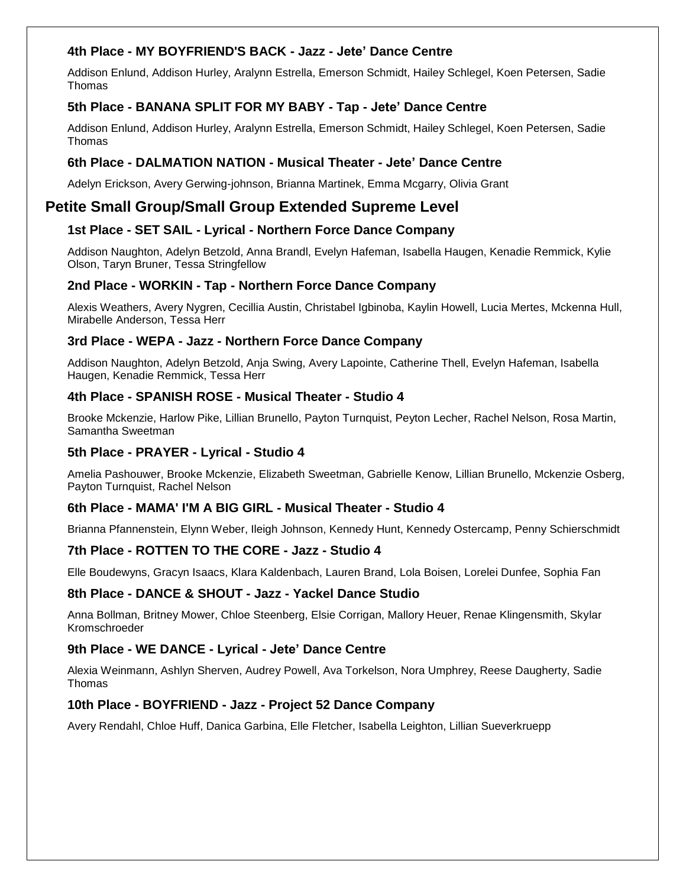#### **4th Place - MY BOYFRIEND'S BACK - Jazz - Jete' Dance Centre**

Addison Enlund, Addison Hurley, Aralynn Estrella, Emerson Schmidt, Hailey Schlegel, Koen Petersen, Sadie Thomas

#### **5th Place - BANANA SPLIT FOR MY BABY - Tap - Jete' Dance Centre**

Addison Enlund, Addison Hurley, Aralynn Estrella, Emerson Schmidt, Hailey Schlegel, Koen Petersen, Sadie Thomas

#### **6th Place - DALMATION NATION - Musical Theater - Jete' Dance Centre**

Adelyn Erickson, Avery Gerwing-johnson, Brianna Martinek, Emma Mcgarry, Olivia Grant

### **Petite Small Group/Small Group Extended Supreme Level**

#### **1st Place - SET SAIL - Lyrical - Northern Force Dance Company**

Addison Naughton, Adelyn Betzold, Anna Brandl, Evelyn Hafeman, Isabella Haugen, Kenadie Remmick, Kylie Olson, Taryn Bruner, Tessa Stringfellow

#### **2nd Place - WORKIN - Tap - Northern Force Dance Company**

Alexis Weathers, Avery Nygren, Cecillia Austin, Christabel Igbinoba, Kaylin Howell, Lucia Mertes, Mckenna Hull, Mirabelle Anderson, Tessa Herr

#### **3rd Place - WEPA - Jazz - Northern Force Dance Company**

Addison Naughton, Adelyn Betzold, Anja Swing, Avery Lapointe, Catherine Thell, Evelyn Hafeman, Isabella Haugen, Kenadie Remmick, Tessa Herr

#### **4th Place - SPANISH ROSE - Musical Theater - Studio 4**

Brooke Mckenzie, Harlow Pike, Lillian Brunello, Payton Turnquist, Peyton Lecher, Rachel Nelson, Rosa Martin, Samantha Sweetman

#### **5th Place - PRAYER - Lyrical - Studio 4**

Amelia Pashouwer, Brooke Mckenzie, Elizabeth Sweetman, Gabrielle Kenow, Lillian Brunello, Mckenzie Osberg, Payton Turnquist, Rachel Nelson

#### **6th Place - MAMA' I'M A BIG GIRL - Musical Theater - Studio 4**

Brianna Pfannenstein, Elynn Weber, Ileigh Johnson, Kennedy Hunt, Kennedy Ostercamp, Penny Schierschmidt

#### **7th Place - ROTTEN TO THE CORE - Jazz - Studio 4**

Elle Boudewyns, Gracyn Isaacs, Klara Kaldenbach, Lauren Brand, Lola Boisen, Lorelei Dunfee, Sophia Fan

#### **8th Place - DANCE & SHOUT - Jazz - Yackel Dance Studio**

Anna Bollman, Britney Mower, Chloe Steenberg, Elsie Corrigan, Mallory Heuer, Renae Klingensmith, Skylar Kromschroeder

#### **9th Place - WE DANCE - Lyrical - Jete' Dance Centre**

Alexia Weinmann, Ashlyn Sherven, Audrey Powell, Ava Torkelson, Nora Umphrey, Reese Daugherty, Sadie Thomas

#### **10th Place - BOYFRIEND - Jazz - Project 52 Dance Company**

Avery Rendahl, Chloe Huff, Danica Garbina, Elle Fletcher, Isabella Leighton, Lillian Sueverkruepp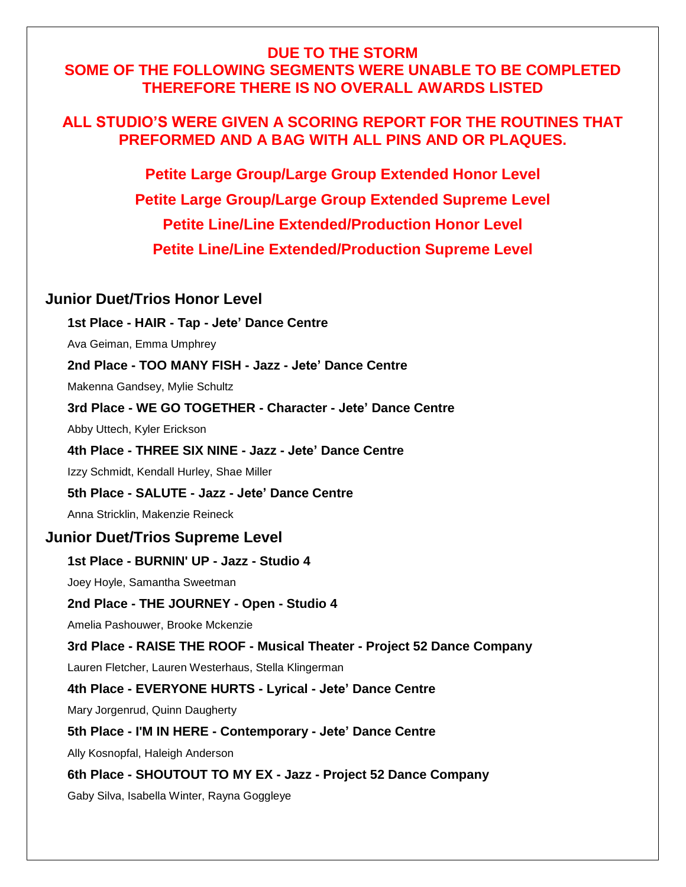# **DUE TO THE STORM SOME OF THE FOLLOWING SEGMENTS WERE UNABLE TO BE COMPLETED THEREFORE THERE IS NO OVERALL AWARDS LISTED**

# **ALL STUDIO'S WERE GIVEN A SCORING REPORT FOR THE ROUTINES THAT PREFORMED AND A BAG WITH ALL PINS AND OR PLAQUES.**

**Petite Large Group/Large Group Extended Honor Level Petite Large Group/Large Group Extended Supreme Level Petite Line/Line Extended/Production Honor Level Petite Line/Line Extended/Production Supreme Level**

#### **Junior Duet/Trios Honor Level**

**1st Place - HAIR - Tap - Jete' Dance Centre**

Ava Geiman, Emma Umphrey

#### **2nd Place - TOO MANY FISH - Jazz - Jete' Dance Centre**

Makenna Gandsey, Mylie Schultz

#### **3rd Place - WE GO TOGETHER - Character - Jete' Dance Centre**

Abby Uttech, Kyler Erickson

#### **4th Place - THREE SIX NINE - Jazz - Jete' Dance Centre**

Izzy Schmidt, Kendall Hurley, Shae Miller

#### **5th Place - SALUTE - Jazz - Jete' Dance Centre**

Anna Stricklin, Makenzie Reineck

#### **Junior Duet/Trios Supreme Level**

#### **1st Place - BURNIN' UP - Jazz - Studio 4**

Joey Hoyle, Samantha Sweetman

#### **2nd Place - THE JOURNEY - Open - Studio 4**

Amelia Pashouwer, Brooke Mckenzie

#### **3rd Place - RAISE THE ROOF - Musical Theater - Project 52 Dance Company**

Lauren Fletcher, Lauren Westerhaus, Stella Klingerman

#### **4th Place - EVERYONE HURTS - Lyrical - Jete' Dance Centre**

Mary Jorgenrud, Quinn Daugherty

#### **5th Place - I'M IN HERE - Contemporary - Jete' Dance Centre**

Ally Kosnopfal, Haleigh Anderson

#### **6th Place - SHOUTOUT TO MY EX - Jazz - Project 52 Dance Company**

Gaby Silva, Isabella Winter, Rayna Goggleye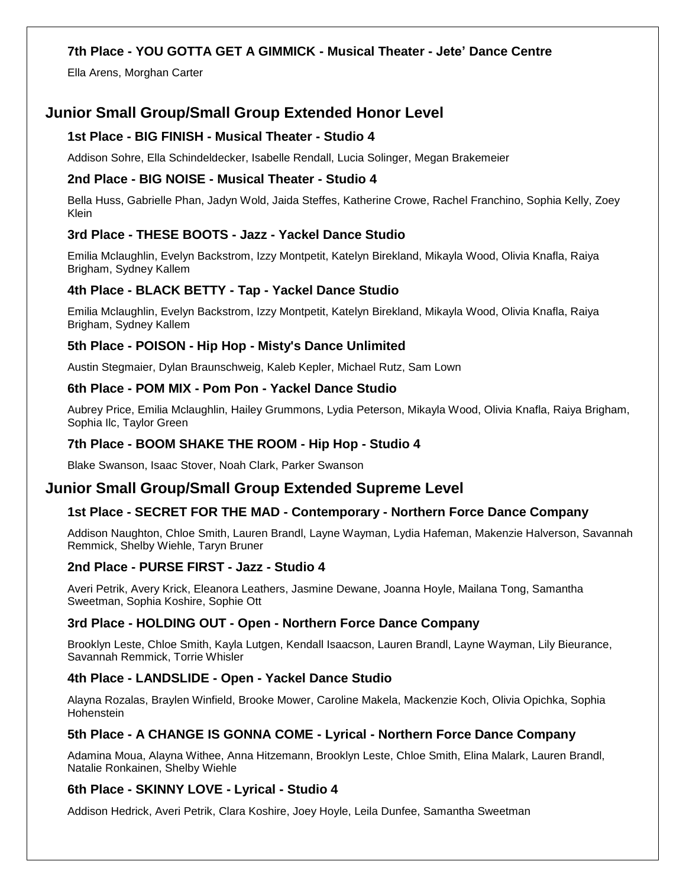#### **7th Place - YOU GOTTA GET A GIMMICK - Musical Theater - Jete' Dance Centre**

Ella Arens, Morghan Carter

### **Junior Small Group/Small Group Extended Honor Level**

#### **1st Place - BIG FINISH - Musical Theater - Studio 4**

Addison Sohre, Ella Schindeldecker, Isabelle Rendall, Lucia Solinger, Megan Brakemeier

#### **2nd Place - BIG NOISE - Musical Theater - Studio 4**

Bella Huss, Gabrielle Phan, Jadyn Wold, Jaida Steffes, Katherine Crowe, Rachel Franchino, Sophia Kelly, Zoey Klein

#### **3rd Place - THESE BOOTS - Jazz - Yackel Dance Studio**

Emilia Mclaughlin, Evelyn Backstrom, Izzy Montpetit, Katelyn Birekland, Mikayla Wood, Olivia Knafla, Raiya Brigham, Sydney Kallem

#### **4th Place - BLACK BETTY - Tap - Yackel Dance Studio**

Emilia Mclaughlin, Evelyn Backstrom, Izzy Montpetit, Katelyn Birekland, Mikayla Wood, Olivia Knafla, Raiya Brigham, Sydney Kallem

#### **5th Place - POISON - Hip Hop - Misty's Dance Unlimited**

Austin Stegmaier, Dylan Braunschweig, Kaleb Kepler, Michael Rutz, Sam Lown

#### **6th Place - POM MIX - Pom Pon - Yackel Dance Studio**

Aubrey Price, Emilia Mclaughlin, Hailey Grummons, Lydia Peterson, Mikayla Wood, Olivia Knafla, Raiya Brigham, Sophia Ilc, Taylor Green

#### **7th Place - BOOM SHAKE THE ROOM - Hip Hop - Studio 4**

Blake Swanson, Isaac Stover, Noah Clark, Parker Swanson

#### **Junior Small Group/Small Group Extended Supreme Level**

#### **1st Place - SECRET FOR THE MAD - Contemporary - Northern Force Dance Company**

Addison Naughton, Chloe Smith, Lauren Brandl, Layne Wayman, Lydia Hafeman, Makenzie Halverson, Savannah Remmick, Shelby Wiehle, Taryn Bruner

#### **2nd Place - PURSE FIRST - Jazz - Studio 4**

Averi Petrik, Avery Krick, Eleanora Leathers, Jasmine Dewane, Joanna Hoyle, Mailana Tong, Samantha Sweetman, Sophia Koshire, Sophie Ott

#### **3rd Place - HOLDING OUT - Open - Northern Force Dance Company**

Brooklyn Leste, Chloe Smith, Kayla Lutgen, Kendall Isaacson, Lauren Brandl, Layne Wayman, Lily Bieurance, Savannah Remmick, Torrie Whisler

#### **4th Place - LANDSLIDE - Open - Yackel Dance Studio**

Alayna Rozalas, Braylen Winfield, Brooke Mower, Caroline Makela, Mackenzie Koch, Olivia Opichka, Sophia Hohenstein

#### **5th Place - A CHANGE IS GONNA COME - Lyrical - Northern Force Dance Company**

Adamina Moua, Alayna Withee, Anna Hitzemann, Brooklyn Leste, Chloe Smith, Elina Malark, Lauren Brandl, Natalie Ronkainen, Shelby Wiehle

#### **6th Place - SKINNY LOVE - Lyrical - Studio 4**

Addison Hedrick, Averi Petrik, Clara Koshire, Joey Hoyle, Leila Dunfee, Samantha Sweetman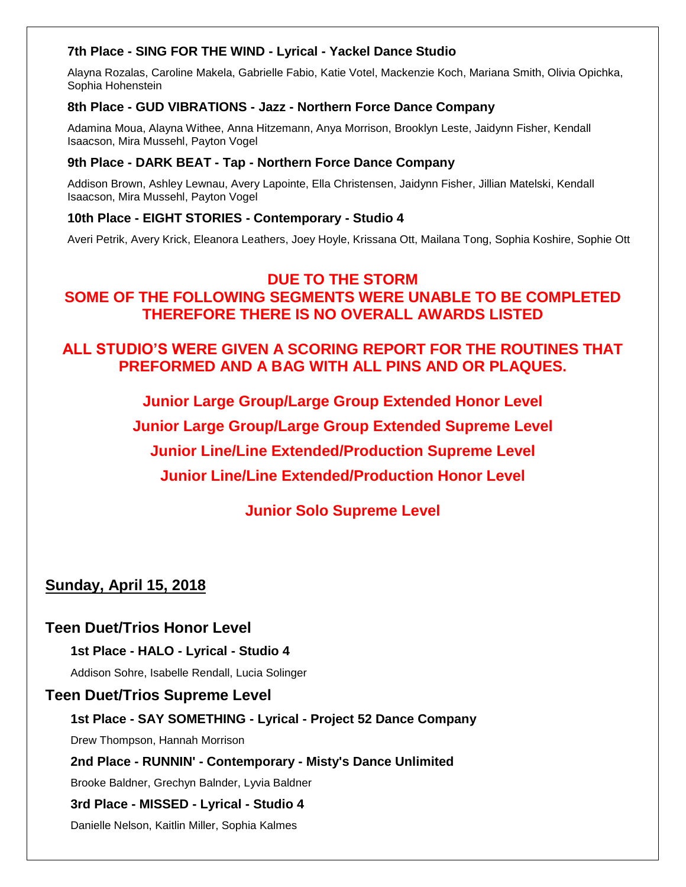#### **7th Place - SING FOR THE WIND - Lyrical - Yackel Dance Studio**

Alayna Rozalas, Caroline Makela, Gabrielle Fabio, Katie Votel, Mackenzie Koch, Mariana Smith, Olivia Opichka, Sophia Hohenstein

#### **8th Place - GUD VIBRATIONS - Jazz - Northern Force Dance Company**

Adamina Moua, Alayna Withee, Anna Hitzemann, Anya Morrison, Brooklyn Leste, Jaidynn Fisher, Kendall Isaacson, Mira Mussehl, Payton Vogel

#### **9th Place - DARK BEAT - Tap - Northern Force Dance Company**

Addison Brown, Ashley Lewnau, Avery Lapointe, Ella Christensen, Jaidynn Fisher, Jillian Matelski, Kendall Isaacson, Mira Mussehl, Payton Vogel

#### **10th Place - EIGHT STORIES - Contemporary - Studio 4**

Averi Petrik, Avery Krick, Eleanora Leathers, Joey Hoyle, Krissana Ott, Mailana Tong, Sophia Koshire, Sophie Ott

# **DUE TO THE STORM SOME OF THE FOLLOWING SEGMENTS WERE UNABLE TO BE COMPLETED THEREFORE THERE IS NO OVERALL AWARDS LISTED**

# **ALL STUDIO'S WERE GIVEN A SCORING REPORT FOR THE ROUTINES THAT PREFORMED AND A BAG WITH ALL PINS AND OR PLAQUES.**

**Junior Large Group/Large Group Extended Honor Level**

**Junior Large Group/Large Group Extended Supreme Level**

**Junior Line/Line Extended/Production Supreme Level**

**Junior Line/Line Extended/Production Honor Level**

**Junior Solo Supreme Level**

# **Sunday, April 15, 2018**

#### **Teen Duet/Trios Honor Level**

**1st Place - HALO - Lyrical - Studio 4**

Addison Sohre, Isabelle Rendall, Lucia Solinger

#### **Teen Duet/Trios Supreme Level**

**1st Place - SAY SOMETHING - Lyrical - Project 52 Dance Company**

Drew Thompson, Hannah Morrison

#### **2nd Place - RUNNIN' - Contemporary - Misty's Dance Unlimited**

Brooke Baldner, Grechyn Balnder, Lyvia Baldner

**3rd Place - MISSED - Lyrical - Studio 4**

Danielle Nelson, Kaitlin Miller, Sophia Kalmes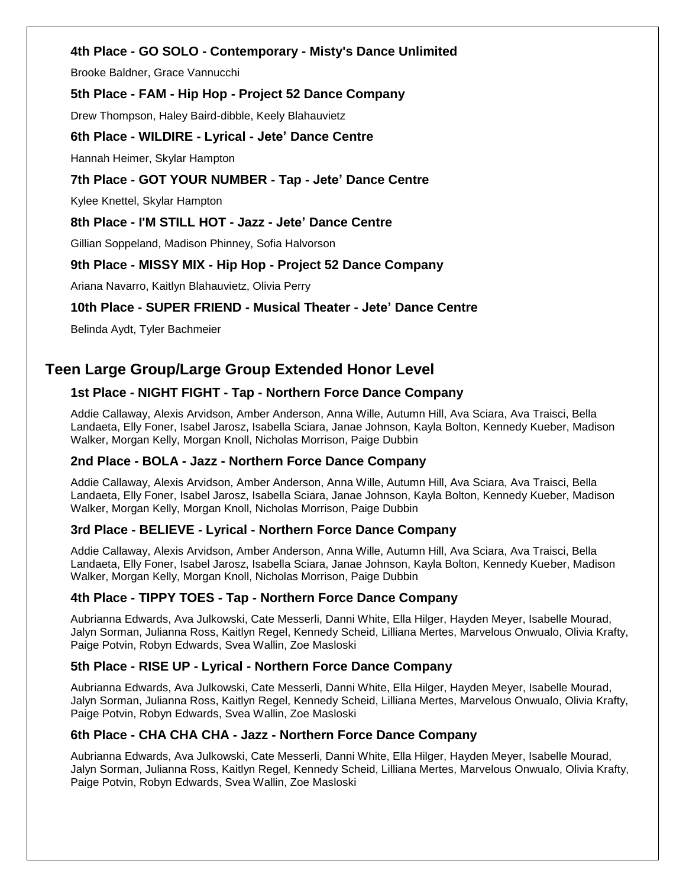#### **4th Place - GO SOLO - Contemporary - Misty's Dance Unlimited**

Brooke Baldner, Grace Vannucchi

#### **5th Place - FAM - Hip Hop - Project 52 Dance Company**

Drew Thompson, Haley Baird-dibble, Keely Blahauvietz

#### **6th Place - WILDIRE - Lyrical - Jete' Dance Centre**

Hannah Heimer, Skylar Hampton

#### **7th Place - GOT YOUR NUMBER - Tap - Jete' Dance Centre**

Kylee Knettel, Skylar Hampton

#### **8th Place - I'M STILL HOT - Jazz - Jete' Dance Centre**

Gillian Soppeland, Madison Phinney, Sofia Halvorson

#### **9th Place - MISSY MIX - Hip Hop - Project 52 Dance Company**

Ariana Navarro, Kaitlyn Blahauvietz, Olivia Perry

#### **10th Place - SUPER FRIEND - Musical Theater - Jete' Dance Centre**

Belinda Aydt, Tyler Bachmeier

# **Teen Large Group/Large Group Extended Honor Level**

#### **1st Place - NIGHT FIGHT - Tap - Northern Force Dance Company**

Addie Callaway, Alexis Arvidson, Amber Anderson, Anna Wille, Autumn Hill, Ava Sciara, Ava Traisci, Bella Landaeta, Elly Foner, Isabel Jarosz, Isabella Sciara, Janae Johnson, Kayla Bolton, Kennedy Kueber, Madison Walker, Morgan Kelly, Morgan Knoll, Nicholas Morrison, Paige Dubbin

#### **2nd Place - BOLA - Jazz - Northern Force Dance Company**

Addie Callaway, Alexis Arvidson, Amber Anderson, Anna Wille, Autumn Hill, Ava Sciara, Ava Traisci, Bella Landaeta, Elly Foner, Isabel Jarosz, Isabella Sciara, Janae Johnson, Kayla Bolton, Kennedy Kueber, Madison Walker, Morgan Kelly, Morgan Knoll, Nicholas Morrison, Paige Dubbin

#### **3rd Place - BELIEVE - Lyrical - Northern Force Dance Company**

Addie Callaway, Alexis Arvidson, Amber Anderson, Anna Wille, Autumn Hill, Ava Sciara, Ava Traisci, Bella Landaeta, Elly Foner, Isabel Jarosz, Isabella Sciara, Janae Johnson, Kayla Bolton, Kennedy Kueber, Madison Walker, Morgan Kelly, Morgan Knoll, Nicholas Morrison, Paige Dubbin

#### **4th Place - TIPPY TOES - Tap - Northern Force Dance Company**

Aubrianna Edwards, Ava Julkowski, Cate Messerli, Danni White, Ella Hilger, Hayden Meyer, Isabelle Mourad, Jalyn Sorman, Julianna Ross, Kaitlyn Regel, Kennedy Scheid, Lilliana Mertes, Marvelous Onwualo, Olivia Krafty, Paige Potvin, Robyn Edwards, Svea Wallin, Zoe Masloski

#### **5th Place - RISE UP - Lyrical - Northern Force Dance Company**

Aubrianna Edwards, Ava Julkowski, Cate Messerli, Danni White, Ella Hilger, Hayden Meyer, Isabelle Mourad, Jalyn Sorman, Julianna Ross, Kaitlyn Regel, Kennedy Scheid, Lilliana Mertes, Marvelous Onwualo, Olivia Krafty, Paige Potvin, Robyn Edwards, Svea Wallin, Zoe Masloski

#### **6th Place - CHA CHA CHA - Jazz - Northern Force Dance Company**

Aubrianna Edwards, Ava Julkowski, Cate Messerli, Danni White, Ella Hilger, Hayden Meyer, Isabelle Mourad, Jalyn Sorman, Julianna Ross, Kaitlyn Regel, Kennedy Scheid, Lilliana Mertes, Marvelous Onwualo, Olivia Krafty, Paige Potvin, Robyn Edwards, Svea Wallin, Zoe Masloski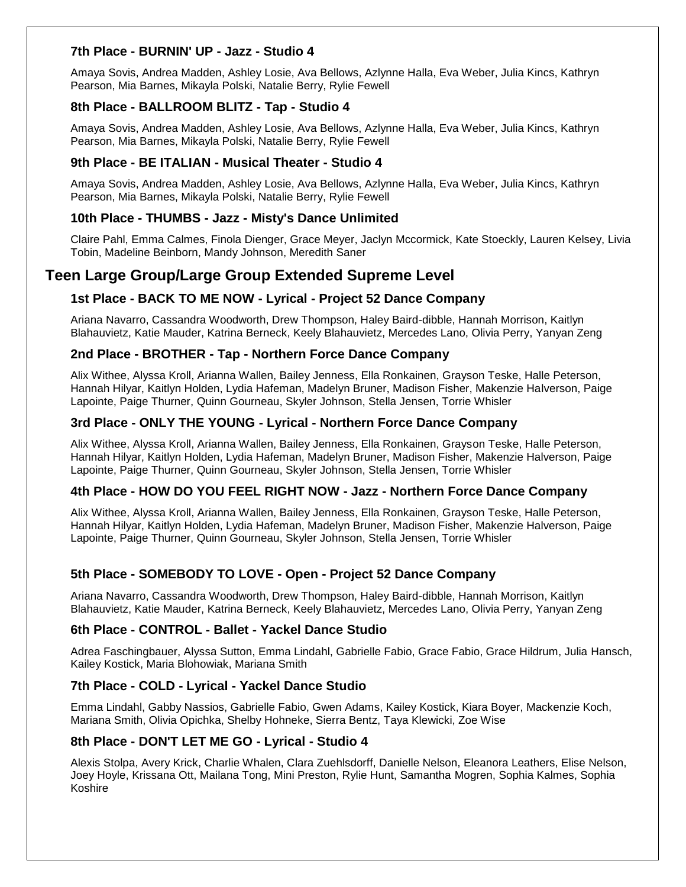#### **7th Place - BURNIN' UP - Jazz - Studio 4**

Amaya Sovis, Andrea Madden, Ashley Losie, Ava Bellows, Azlynne Halla, Eva Weber, Julia Kincs, Kathryn Pearson, Mia Barnes, Mikayla Polski, Natalie Berry, Rylie Fewell

#### **8th Place - BALLROOM BLITZ - Tap - Studio 4**

Amaya Sovis, Andrea Madden, Ashley Losie, Ava Bellows, Azlynne Halla, Eva Weber, Julia Kincs, Kathryn Pearson, Mia Barnes, Mikayla Polski, Natalie Berry, Rylie Fewell

#### **9th Place - BE ITALIAN - Musical Theater - Studio 4**

Amaya Sovis, Andrea Madden, Ashley Losie, Ava Bellows, Azlynne Halla, Eva Weber, Julia Kincs, Kathryn Pearson, Mia Barnes, Mikayla Polski, Natalie Berry, Rylie Fewell

#### **10th Place - THUMBS - Jazz - Misty's Dance Unlimited**

Claire Pahl, Emma Calmes, Finola Dienger, Grace Meyer, Jaclyn Mccormick, Kate Stoeckly, Lauren Kelsey, Livia Tobin, Madeline Beinborn, Mandy Johnson, Meredith Saner

# **Teen Large Group/Large Group Extended Supreme Level**

#### **1st Place - BACK TO ME NOW - Lyrical - Project 52 Dance Company**

Ariana Navarro, Cassandra Woodworth, Drew Thompson, Haley Baird-dibble, Hannah Morrison, Kaitlyn Blahauvietz, Katie Mauder, Katrina Berneck, Keely Blahauvietz, Mercedes Lano, Olivia Perry, Yanyan Zeng

#### **2nd Place - BROTHER - Tap - Northern Force Dance Company**

Alix Withee, Alyssa Kroll, Arianna Wallen, Bailey Jenness, Ella Ronkainen, Grayson Teske, Halle Peterson, Hannah Hilyar, Kaitlyn Holden, Lydia Hafeman, Madelyn Bruner, Madison Fisher, Makenzie Halverson, Paige Lapointe, Paige Thurner, Quinn Gourneau, Skyler Johnson, Stella Jensen, Torrie Whisler

#### **3rd Place - ONLY THE YOUNG - Lyrical - Northern Force Dance Company**

Alix Withee, Alyssa Kroll, Arianna Wallen, Bailey Jenness, Ella Ronkainen, Grayson Teske, Halle Peterson, Hannah Hilyar, Kaitlyn Holden, Lydia Hafeman, Madelyn Bruner, Madison Fisher, Makenzie Halverson, Paige Lapointe, Paige Thurner, Quinn Gourneau, Skyler Johnson, Stella Jensen, Torrie Whisler

#### **4th Place - HOW DO YOU FEEL RIGHT NOW - Jazz - Northern Force Dance Company**

Alix Withee, Alyssa Kroll, Arianna Wallen, Bailey Jenness, Ella Ronkainen, Grayson Teske, Halle Peterson, Hannah Hilyar, Kaitlyn Holden, Lydia Hafeman, Madelyn Bruner, Madison Fisher, Makenzie Halverson, Paige Lapointe, Paige Thurner, Quinn Gourneau, Skyler Johnson, Stella Jensen, Torrie Whisler

#### **5th Place - SOMEBODY TO LOVE - Open - Project 52 Dance Company**

Ariana Navarro, Cassandra Woodworth, Drew Thompson, Haley Baird-dibble, Hannah Morrison, Kaitlyn Blahauvietz, Katie Mauder, Katrina Berneck, Keely Blahauvietz, Mercedes Lano, Olivia Perry, Yanyan Zeng

#### **6th Place - CONTROL - Ballet - Yackel Dance Studio**

Adrea Faschingbauer, Alyssa Sutton, Emma Lindahl, Gabrielle Fabio, Grace Fabio, Grace Hildrum, Julia Hansch, Kailey Kostick, Maria Blohowiak, Mariana Smith

#### **7th Place - COLD - Lyrical - Yackel Dance Studio**

Emma Lindahl, Gabby Nassios, Gabrielle Fabio, Gwen Adams, Kailey Kostick, Kiara Boyer, Mackenzie Koch, Mariana Smith, Olivia Opichka, Shelby Hohneke, Sierra Bentz, Taya Klewicki, Zoe Wise

#### **8th Place - DON'T LET ME GO - Lyrical - Studio 4**

Alexis Stolpa, Avery Krick, Charlie Whalen, Clara Zuehlsdorff, Danielle Nelson, Eleanora Leathers, Elise Nelson, Joey Hoyle, Krissana Ott, Mailana Tong, Mini Preston, Rylie Hunt, Samantha Mogren, Sophia Kalmes, Sophia Koshire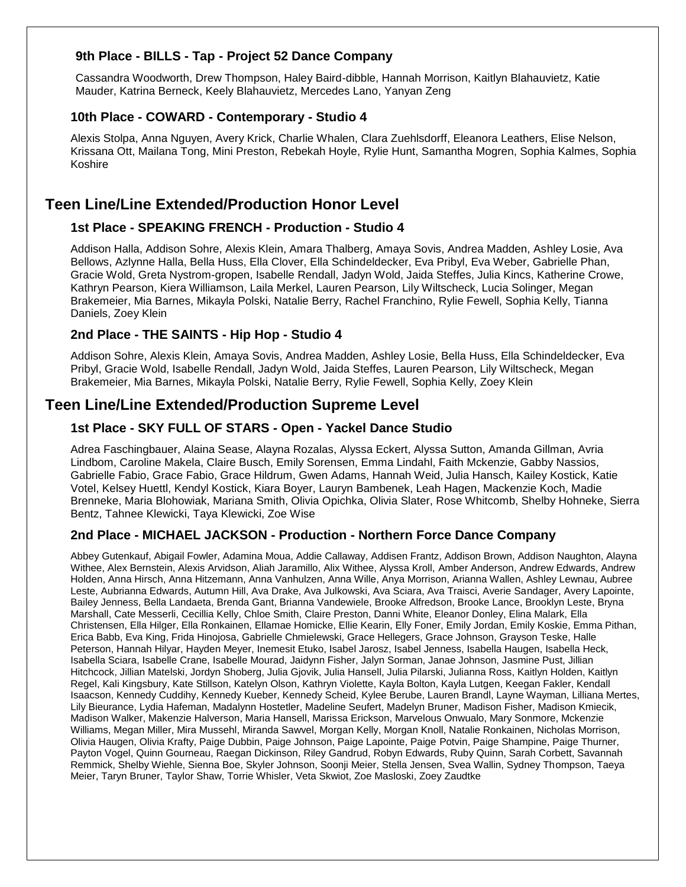#### **9th Place - BILLS - Tap - Project 52 Dance Company**

Cassandra Woodworth, Drew Thompson, Haley Baird-dibble, Hannah Morrison, Kaitlyn Blahauvietz, Katie Mauder, Katrina Berneck, Keely Blahauvietz, Mercedes Lano, Yanyan Zeng

#### **10th Place - COWARD - Contemporary - Studio 4**

Alexis Stolpa, Anna Nguyen, Avery Krick, Charlie Whalen, Clara Zuehlsdorff, Eleanora Leathers, Elise Nelson, Krissana Ott, Mailana Tong, Mini Preston, Rebekah Hoyle, Rylie Hunt, Samantha Mogren, Sophia Kalmes, Sophia Koshire

# **Teen Line/Line Extended/Production Honor Level**

#### **1st Place - SPEAKING FRENCH - Production - Studio 4**

Addison Halla, Addison Sohre, Alexis Klein, Amara Thalberg, Amaya Sovis, Andrea Madden, Ashley Losie, Ava Bellows, Azlynne Halla, Bella Huss, Ella Clover, Ella Schindeldecker, Eva Pribyl, Eva Weber, Gabrielle Phan, Gracie Wold, Greta Nystrom-gropen, Isabelle Rendall, Jadyn Wold, Jaida Steffes, Julia Kincs, Katherine Crowe, Kathryn Pearson, Kiera Williamson, Laila Merkel, Lauren Pearson, Lily Wiltscheck, Lucia Solinger, Megan Brakemeier, Mia Barnes, Mikayla Polski, Natalie Berry, Rachel Franchino, Rylie Fewell, Sophia Kelly, Tianna Daniels, Zoey Klein

#### **2nd Place - THE SAINTS - Hip Hop - Studio 4**

Addison Sohre, Alexis Klein, Amaya Sovis, Andrea Madden, Ashley Losie, Bella Huss, Ella Schindeldecker, Eva Pribyl, Gracie Wold, Isabelle Rendall, Jadyn Wold, Jaida Steffes, Lauren Pearson, Lily Wiltscheck, Megan Brakemeier, Mia Barnes, Mikayla Polski, Natalie Berry, Rylie Fewell, Sophia Kelly, Zoey Klein

### **Teen Line/Line Extended/Production Supreme Level**

#### **1st Place - SKY FULL OF STARS - Open - Yackel Dance Studio**

Adrea Faschingbauer, Alaina Sease, Alayna Rozalas, Alyssa Eckert, Alyssa Sutton, Amanda Gillman, Avria Lindbom, Caroline Makela, Claire Busch, Emily Sorensen, Emma Lindahl, Faith Mckenzie, Gabby Nassios, Gabrielle Fabio, Grace Fabio, Grace Hildrum, Gwen Adams, Hannah Weid, Julia Hansch, Kailey Kostick, Katie Votel, Kelsey Huettl, Kendyl Kostick, Kiara Boyer, Lauryn Bambenek, Leah Hagen, Mackenzie Koch, Madie Brenneke, Maria Blohowiak, Mariana Smith, Olivia Opichka, Olivia Slater, Rose Whitcomb, Shelby Hohneke, Sierra Bentz, Tahnee Klewicki, Taya Klewicki, Zoe Wise

#### **2nd Place - MICHAEL JACKSON - Production - Northern Force Dance Company**

Abbey Gutenkauf, Abigail Fowler, Adamina Moua, Addie Callaway, Addisen Frantz, Addison Brown, Addison Naughton, Alayna Withee, Alex Bernstein, Alexis Arvidson, Aliah Jaramillo, Alix Withee, Alyssa Kroll, Amber Anderson, Andrew Edwards, Andrew Holden, Anna Hirsch, Anna Hitzemann, Anna Vanhulzen, Anna Wille, Anya Morrison, Arianna Wallen, Ashley Lewnau, Aubree Leste, Aubrianna Edwards, Autumn Hill, Ava Drake, Ava Julkowski, Ava Sciara, Ava Traisci, Averie Sandager, Avery Lapointe, Bailey Jenness, Bella Landaeta, Brenda Gant, Brianna Vandewiele, Brooke Alfredson, Brooke Lance, Brooklyn Leste, Bryna Marshall, Cate Messerli, Cecillia Kelly, Chloe Smith, Claire Preston, Danni White, Eleanor Donley, Elina Malark, Ella Christensen, Ella Hilger, Ella Ronkainen, Ellamae Homicke, Ellie Kearin, Elly Foner, Emily Jordan, Emily Koskie, Emma Pithan, Erica Babb, Eva King, Frida Hinojosa, Gabrielle Chmielewski, Grace Hellegers, Grace Johnson, Grayson Teske, Halle Peterson, Hannah Hilyar, Hayden Meyer, Inemesit Etuko, Isabel Jarosz, Isabel Jenness, Isabella Haugen, Isabella Heck, Isabella Sciara, Isabelle Crane, Isabelle Mourad, Jaidynn Fisher, Jalyn Sorman, Janae Johnson, Jasmine Pust, Jillian Hitchcock, Jillian Matelski, Jordyn Shoberg, Julia Gjovik, Julia Hansell, Julia Pilarski, Julianna Ross, Kaitlyn Holden, Kaitlyn Regel, Kali Kingsbury, Kate Stillson, Katelyn Olson, Kathryn Violette, Kayla Bolton, Kayla Lutgen, Keegan Fakler, Kendall Isaacson, Kennedy Cuddihy, Kennedy Kueber, Kennedy Scheid, Kylee Berube, Lauren Brandl, Layne Wayman, Lilliana Mertes, Lily Bieurance, Lydia Hafeman, Madalynn Hostetler, Madeline Seufert, Madelyn Bruner, Madison Fisher, Madison Kmiecik, Madison Walker, Makenzie Halverson, Maria Hansell, Marissa Erickson, Marvelous Onwualo, Mary Sonmore, Mckenzie Williams, Megan Miller, Mira Mussehl, Miranda Sawvel, Morgan Kelly, Morgan Knoll, Natalie Ronkainen, Nicholas Morrison, Olivia Haugen, Olivia Krafty, Paige Dubbin, Paige Johnson, Paige Lapointe, Paige Potvin, Paige Shampine, Paige Thurner, Payton Vogel, Quinn Gourneau, Raegan Dickinson, Riley Gandrud, Robyn Edwards, Ruby Quinn, Sarah Corbett, Savannah Remmick, Shelby Wiehle, Sienna Boe, Skyler Johnson, Soonji Meier, Stella Jensen, Svea Wallin, Sydney Thompson, Taeya Meier, Taryn Bruner, Taylor Shaw, Torrie Whisler, Veta Skwiot, Zoe Masloski, Zoey Zaudtke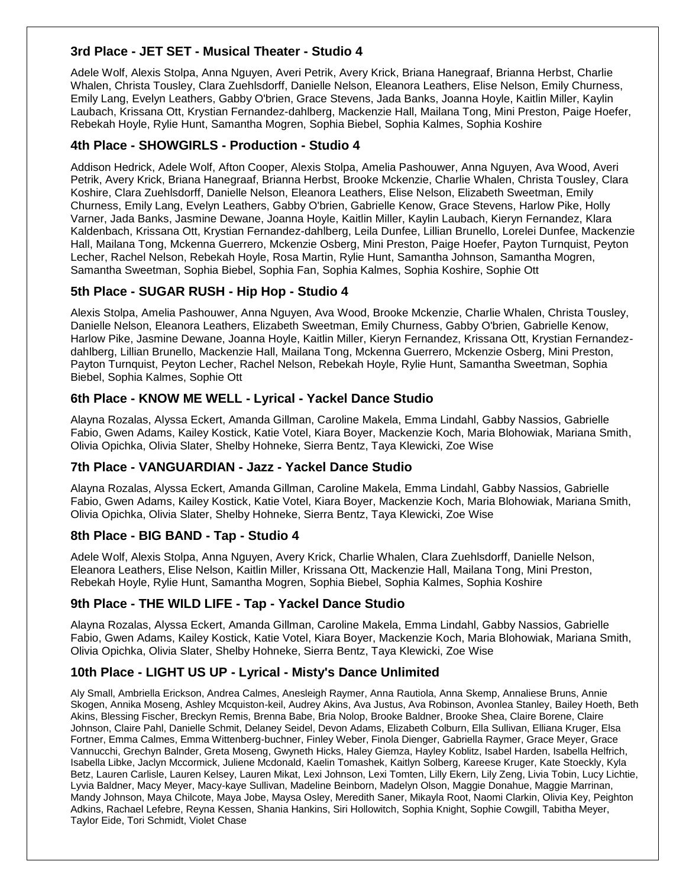#### **3rd Place - JET SET - Musical Theater - Studio 4**

Adele Wolf, Alexis Stolpa, Anna Nguyen, Averi Petrik, Avery Krick, Briana Hanegraaf, Brianna Herbst, Charlie Whalen, Christa Tousley, Clara Zuehlsdorff, Danielle Nelson, Eleanora Leathers, Elise Nelson, Emily Churness, Emily Lang, Evelyn Leathers, Gabby O'brien, Grace Stevens, Jada Banks, Joanna Hoyle, Kaitlin Miller, Kaylin Laubach, Krissana Ott, Krystian Fernandez-dahlberg, Mackenzie Hall, Mailana Tong, Mini Preston, Paige Hoefer, Rebekah Hoyle, Rylie Hunt, Samantha Mogren, Sophia Biebel, Sophia Kalmes, Sophia Koshire

#### **4th Place - SHOWGIRLS - Production - Studio 4**

Addison Hedrick, Adele Wolf, Afton Cooper, Alexis Stolpa, Amelia Pashouwer, Anna Nguyen, Ava Wood, Averi Petrik, Avery Krick, Briana Hanegraaf, Brianna Herbst, Brooke Mckenzie, Charlie Whalen, Christa Tousley, Clara Koshire, Clara Zuehlsdorff, Danielle Nelson, Eleanora Leathers, Elise Nelson, Elizabeth Sweetman, Emily Churness, Emily Lang, Evelyn Leathers, Gabby O'brien, Gabrielle Kenow, Grace Stevens, Harlow Pike, Holly Varner, Jada Banks, Jasmine Dewane, Joanna Hoyle, Kaitlin Miller, Kaylin Laubach, Kieryn Fernandez, Klara Kaldenbach, Krissana Ott, Krystian Fernandez-dahlberg, Leila Dunfee, Lillian Brunello, Lorelei Dunfee, Mackenzie Hall, Mailana Tong, Mckenna Guerrero, Mckenzie Osberg, Mini Preston, Paige Hoefer, Payton Turnquist, Peyton Lecher, Rachel Nelson, Rebekah Hoyle, Rosa Martin, Rylie Hunt, Samantha Johnson, Samantha Mogren, Samantha Sweetman, Sophia Biebel, Sophia Fan, Sophia Kalmes, Sophia Koshire, Sophie Ott

#### **5th Place - SUGAR RUSH - Hip Hop - Studio 4**

Alexis Stolpa, Amelia Pashouwer, Anna Nguyen, Ava Wood, Brooke Mckenzie, Charlie Whalen, Christa Tousley, Danielle Nelson, Eleanora Leathers, Elizabeth Sweetman, Emily Churness, Gabby O'brien, Gabrielle Kenow, Harlow Pike, Jasmine Dewane, Joanna Hoyle, Kaitlin Miller, Kieryn Fernandez, Krissana Ott, Krystian Fernandezdahlberg, Lillian Brunello, Mackenzie Hall, Mailana Tong, Mckenna Guerrero, Mckenzie Osberg, Mini Preston, Payton Turnquist, Peyton Lecher, Rachel Nelson, Rebekah Hoyle, Rylie Hunt, Samantha Sweetman, Sophia Biebel, Sophia Kalmes, Sophie Ott

#### **6th Place - KNOW ME WELL - Lyrical - Yackel Dance Studio**

Alayna Rozalas, Alyssa Eckert, Amanda Gillman, Caroline Makela, Emma Lindahl, Gabby Nassios, Gabrielle Fabio, Gwen Adams, Kailey Kostick, Katie Votel, Kiara Boyer, Mackenzie Koch, Maria Blohowiak, Mariana Smith, Olivia Opichka, Olivia Slater, Shelby Hohneke, Sierra Bentz, Taya Klewicki, Zoe Wise

#### **7th Place - VANGUARDIAN - Jazz - Yackel Dance Studio**

Alayna Rozalas, Alyssa Eckert, Amanda Gillman, Caroline Makela, Emma Lindahl, Gabby Nassios, Gabrielle Fabio, Gwen Adams, Kailey Kostick, Katie Votel, Kiara Boyer, Mackenzie Koch, Maria Blohowiak, Mariana Smith, Olivia Opichka, Olivia Slater, Shelby Hohneke, Sierra Bentz, Taya Klewicki, Zoe Wise

#### **8th Place - BIG BAND - Tap - Studio 4**

Adele Wolf, Alexis Stolpa, Anna Nguyen, Avery Krick, Charlie Whalen, Clara Zuehlsdorff, Danielle Nelson, Eleanora Leathers, Elise Nelson, Kaitlin Miller, Krissana Ott, Mackenzie Hall, Mailana Tong, Mini Preston, Rebekah Hoyle, Rylie Hunt, Samantha Mogren, Sophia Biebel, Sophia Kalmes, Sophia Koshire

#### **9th Place - THE WILD LIFE - Tap - Yackel Dance Studio**

Alayna Rozalas, Alyssa Eckert, Amanda Gillman, Caroline Makela, Emma Lindahl, Gabby Nassios, Gabrielle Fabio, Gwen Adams, Kailey Kostick, Katie Votel, Kiara Boyer, Mackenzie Koch, Maria Blohowiak, Mariana Smith, Olivia Opichka, Olivia Slater, Shelby Hohneke, Sierra Bentz, Taya Klewicki, Zoe Wise

#### **10th Place - LIGHT US UP - Lyrical - Misty's Dance Unlimited**

Aly Small, Ambriella Erickson, Andrea Calmes, Anesleigh Raymer, Anna Rautiola, Anna Skemp, Annaliese Bruns, Annie Skogen, Annika Moseng, Ashley Mcquiston-keil, Audrey Akins, Ava Justus, Ava Robinson, Avonlea Stanley, Bailey Hoeth, Beth Akins, Blessing Fischer, Breckyn Remis, Brenna Babe, Bria Nolop, Brooke Baldner, Brooke Shea, Claire Borene, Claire Johnson, Claire Pahl, Danielle Schmit, Delaney Seidel, Devon Adams, Elizabeth Colburn, Ella Sullivan, Elliana Kruger, Elsa Fortner, Emma Calmes, Emma Wittenberg-buchner, Finley Weber, Finola Dienger, Gabriella Raymer, Grace Meyer, Grace Vannucchi, Grechyn Balnder, Greta Moseng, Gwyneth Hicks, Haley Giemza, Hayley Koblitz, Isabel Harden, Isabella Helfrich, Isabella Libke, Jaclyn Mccormick, Juliene Mcdonald, Kaelin Tomashek, Kaitlyn Solberg, Kareese Kruger, Kate Stoeckly, Kyla Betz, Lauren Carlisle, Lauren Kelsey, Lauren Mikat, Lexi Johnson, Lexi Tomten, Lilly Ekern, Lily Zeng, Livia Tobin, Lucy Lichtie, Lyvia Baldner, Macy Meyer, Macy-kaye Sullivan, Madeline Beinborn, Madelyn Olson, Maggie Donahue, Maggie Marrinan, Mandy Johnson, Maya Chilcote, Maya Jobe, Maysa Osley, Meredith Saner, Mikayla Root, Naomi Clarkin, Olivia Key, Peighton Adkins, Rachael Lefebre, Reyna Kessen, Shania Hankins, Siri Hollowitch, Sophia Knight, Sophie Cowgill, Tabitha Meyer, Taylor Eide, Tori Schmidt, Violet Chase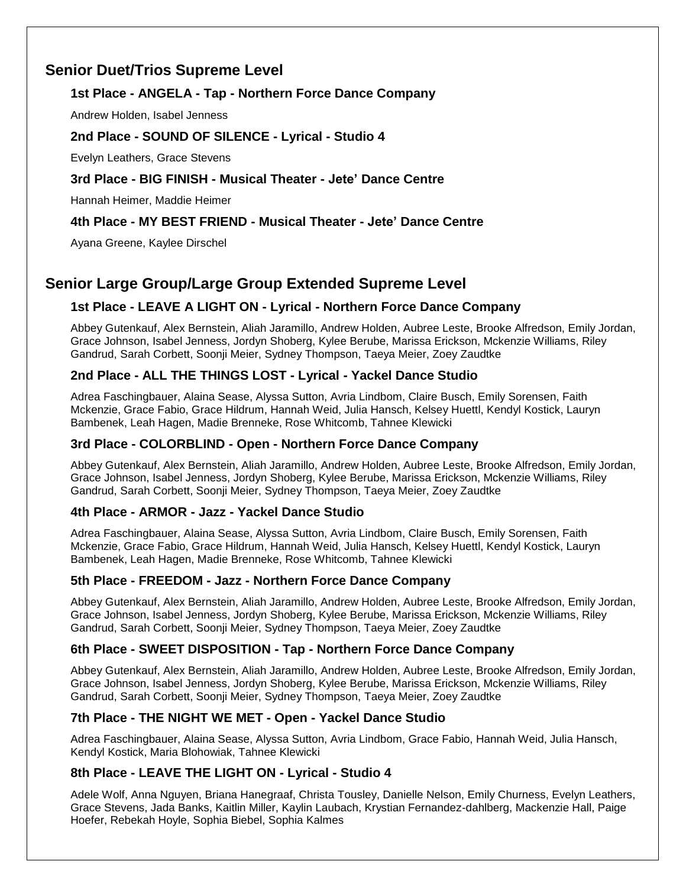# **Senior Duet/Trios Supreme Level**

#### **1st Place - ANGELA - Tap - Northern Force Dance Company**

Andrew Holden, Isabel Jenness

#### **2nd Place - SOUND OF SILENCE - Lyrical - Studio 4**

Evelyn Leathers, Grace Stevens

#### **3rd Place - BIG FINISH - Musical Theater - Jete' Dance Centre**

Hannah Heimer, Maddie Heimer

#### **4th Place - MY BEST FRIEND - Musical Theater - Jete' Dance Centre**

Ayana Greene, Kaylee Dirschel

# **Senior Large Group/Large Group Extended Supreme Level**

#### **1st Place - LEAVE A LIGHT ON - Lyrical - Northern Force Dance Company**

Abbey Gutenkauf, Alex Bernstein, Aliah Jaramillo, Andrew Holden, Aubree Leste, Brooke Alfredson, Emily Jordan, Grace Johnson, Isabel Jenness, Jordyn Shoberg, Kylee Berube, Marissa Erickson, Mckenzie Williams, Riley Gandrud, Sarah Corbett, Soonji Meier, Sydney Thompson, Taeya Meier, Zoey Zaudtke

#### **2nd Place - ALL THE THINGS LOST - Lyrical - Yackel Dance Studio**

Adrea Faschingbauer, Alaina Sease, Alyssa Sutton, Avria Lindbom, Claire Busch, Emily Sorensen, Faith Mckenzie, Grace Fabio, Grace Hildrum, Hannah Weid, Julia Hansch, Kelsey Huettl, Kendyl Kostick, Lauryn Bambenek, Leah Hagen, Madie Brenneke, Rose Whitcomb, Tahnee Klewicki

#### **3rd Place - COLORBLIND - Open - Northern Force Dance Company**

Abbey Gutenkauf, Alex Bernstein, Aliah Jaramillo, Andrew Holden, Aubree Leste, Brooke Alfredson, Emily Jordan, Grace Johnson, Isabel Jenness, Jordyn Shoberg, Kylee Berube, Marissa Erickson, Mckenzie Williams, Riley Gandrud, Sarah Corbett, Soonji Meier, Sydney Thompson, Taeya Meier, Zoey Zaudtke

#### **4th Place - ARMOR - Jazz - Yackel Dance Studio**

Adrea Faschingbauer, Alaina Sease, Alyssa Sutton, Avria Lindbom, Claire Busch, Emily Sorensen, Faith Mckenzie, Grace Fabio, Grace Hildrum, Hannah Weid, Julia Hansch, Kelsey Huettl, Kendyl Kostick, Lauryn Bambenek, Leah Hagen, Madie Brenneke, Rose Whitcomb, Tahnee Klewicki

#### **5th Place - FREEDOM - Jazz - Northern Force Dance Company**

Abbey Gutenkauf, Alex Bernstein, Aliah Jaramillo, Andrew Holden, Aubree Leste, Brooke Alfredson, Emily Jordan, Grace Johnson, Isabel Jenness, Jordyn Shoberg, Kylee Berube, Marissa Erickson, Mckenzie Williams, Riley Gandrud, Sarah Corbett, Soonji Meier, Sydney Thompson, Taeya Meier, Zoey Zaudtke

#### **6th Place - SWEET DISPOSITION - Tap - Northern Force Dance Company**

Abbey Gutenkauf, Alex Bernstein, Aliah Jaramillo, Andrew Holden, Aubree Leste, Brooke Alfredson, Emily Jordan, Grace Johnson, Isabel Jenness, Jordyn Shoberg, Kylee Berube, Marissa Erickson, Mckenzie Williams, Riley Gandrud, Sarah Corbett, Soonji Meier, Sydney Thompson, Taeya Meier, Zoey Zaudtke

#### **7th Place - THE NIGHT WE MET - Open - Yackel Dance Studio**

Adrea Faschingbauer, Alaina Sease, Alyssa Sutton, Avria Lindbom, Grace Fabio, Hannah Weid, Julia Hansch, Kendyl Kostick, Maria Blohowiak, Tahnee Klewicki

#### **8th Place - LEAVE THE LIGHT ON - Lyrical - Studio 4**

Adele Wolf, Anna Nguyen, Briana Hanegraaf, Christa Tousley, Danielle Nelson, Emily Churness, Evelyn Leathers, Grace Stevens, Jada Banks, Kaitlin Miller, Kaylin Laubach, Krystian Fernandez-dahlberg, Mackenzie Hall, Paige Hoefer, Rebekah Hoyle, Sophia Biebel, Sophia Kalmes